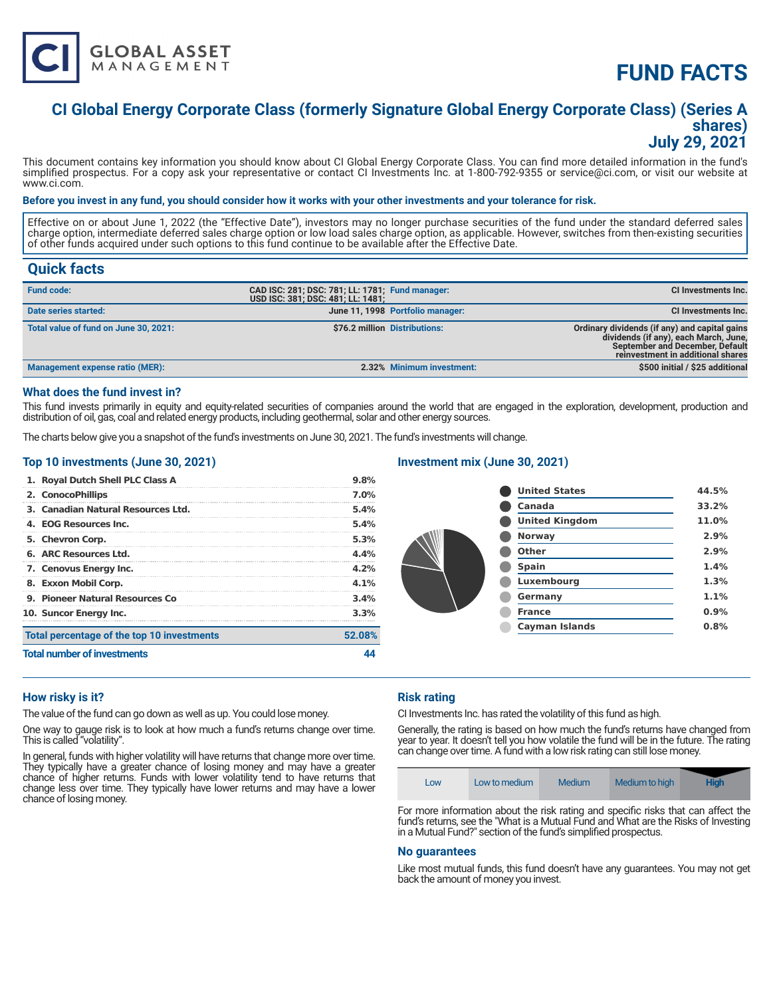

# **FUND FACTS**

### **CI Global Energy Corporate Class (formerly Signature Global Energy Corporate Class) (Series A shares) July 29, 2021**

This document contains key information you should know about CI Global Energy Corporate Class. You can find more detailed information in the fund's simplified prospectus. For a copy ask your representative or contact CI Investments Inc. at 1-800-792-9355 or service@ci.com, or visit our website at www.ci.com.

#### **Before you invest in any fund, you should consider how it works with your other investments and your tolerance for risk.**

Effective on or about June 1, 2022 (the "Effective Date"), investors may no longer purchase securities of the fund under the standard deferred sales charge option, intermediate deferred sales charge option or low load sales charge option, as applicable. However, switches from then-existing securities of other funds acquired under such options to this fund continue to be available after the Effective Date.

### **Quick facts**

| <b>Fund code:</b>                     | CAD ISC: 281; DSC: 781; LL: 1781; Fund manager:<br>USD ISC: 381; DSC: 481; LL: 1481; |                                  | CI Investments Inc.                                                                                                                                            |
|---------------------------------------|--------------------------------------------------------------------------------------|----------------------------------|----------------------------------------------------------------------------------------------------------------------------------------------------------------|
| Date series started:                  |                                                                                      | June 11, 1998 Portfolio manager: | CI Investments Inc.                                                                                                                                            |
| Total value of fund on June 30, 2021: |                                                                                      | \$76.2 million Distributions:    | Ordinary dividends (if any) and capital gains<br>dividends (if any), each March, June,<br>September and December, Default<br>reinvestment in additional shares |
| Management expense ratio (MER):       |                                                                                      | 2.32% Minimum investment:        | \$500 initial / \$25 additional                                                                                                                                |

#### **What does the fund invest in?**

This fund invests primarily in equity and equity-related securities of companies around the world that are engaged in the exploration, development, production and distribution of oil, gas, coal and related energy products, including geothermal, solar and other energy sources.

The charts below give you a snapshot of the fund's investments on June 30, 2021. The fund's investments will change.

#### **Top 10 investments (June 30, 2021)**

| 1. Royal Dutch Shell PLC Class A           | 9.8%    |
|--------------------------------------------|---------|
| 2. ConocoPhillips                          | $7.0\%$ |
| 3. Canadian Natural Resources Ltd.         | 5.4%    |
| 4. EOG Resources Inc.                      | 5.4%    |
| 5. Chevron Corp.                           | 5.3%    |
| 6. ARC Resources Ltd.                      | 4.4%    |
| 7. Cenovus Energy Inc.                     | 4.2%    |
| 8. Exxon Mobil Corp.                       | 4.1%    |
| 9. Pioneer Natural Resources Co            | 3.4%    |
| 10. Suncor Energy Inc.                     | 3.3%    |
| Total percentage of the top 10 investments | 52.08%  |
| <b>Total number of investments</b>         |         |

#### **Investment mix (June 30, 2021)**

| <b>United States</b>  | 44.5% |
|-----------------------|-------|
| Canada                | 33.2% |
| <b>United Kingdom</b> | 11.0% |
| <b>Norway</b>         | 2.9%  |
| Other                 | 2.9%  |
| <b>Spain</b>          | 1.4%  |
| Luxembourg            | 1.3%  |
| Germany               | 1.1%  |
| <b>France</b>         | 0.9%  |
| <b>Cayman Islands</b> | 0.8%  |
|                       |       |

#### **How risky is it?**

The value of the fund can go down as well as up. You could lose money.

One way to gauge risk is to look at how much a fund's returns change over time. This is called "volatility".

In general, funds with higher volatility will have returns that change more over time. They typically have a greater chance of losing money and may have a greater chance of higher returns. Funds with lower volatility tend to have returns that change less over time. They typically have lower returns and may have a lower chance of losing money.

#### **Risk rating**

CI Investments Inc. has rated the volatility of this fund as high.

Generally, the rating is based on how much the fund's returns have changed from year to year. It doesn't tell you how volatile the fund will be in the future. The rating can change over time. A fund with a low risk rating can still lose money.

| Low to medium<br>LOW | Medium to high<br>Medium | <b>High</b> |
|----------------------|--------------------------|-------------|
|----------------------|--------------------------|-------------|

For more information about the risk rating and specific risks that can affect the fund's returns, see the "What is a Mutual Fund and What are the Risks of Investing in a Mutual Fund?" section of the fund's simplified prospectus.

#### **No guarantees**

Like most mutual funds, this fund doesn't have any guarantees. You may not get back the amount of money you invest.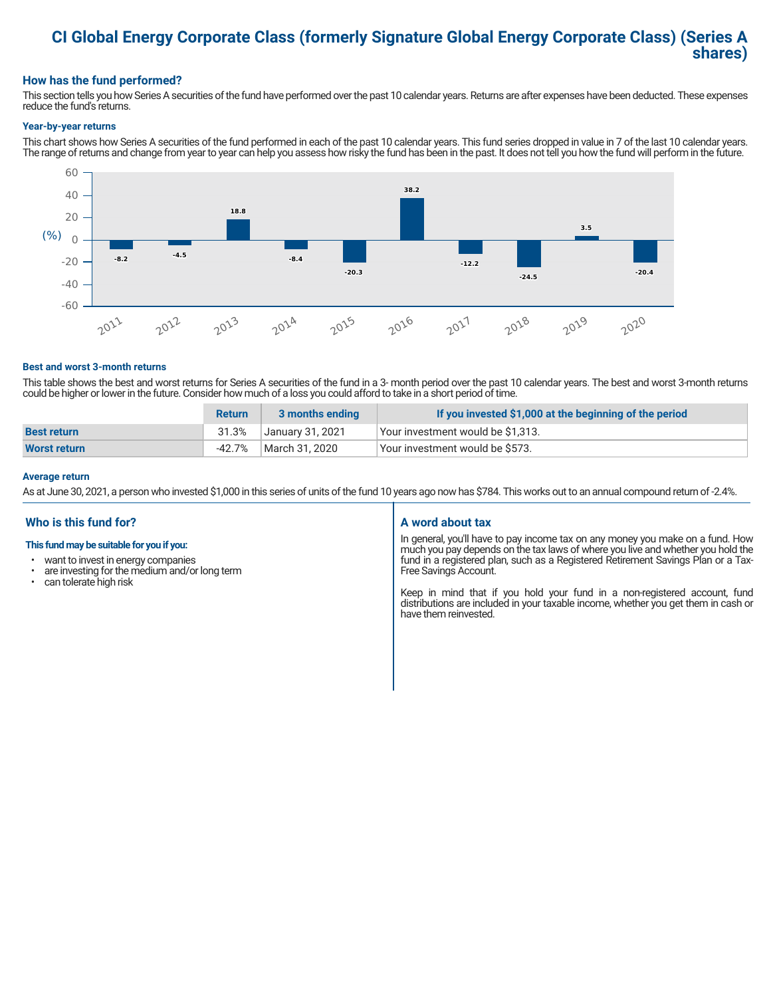## **CI Global Energy Corporate Class (formerly Signature Global Energy Corporate Class) (Series A shares)**

#### **How has the fund performed?**

This section tells you how Series A securities of the fund have performed over the past 10 calendar years. Returns are after expenses have been deducted. These expenses reduce the fund's returns.

#### **Year-by-year returns**

This chart shows how Series A securities of the fund performed in each of the past 10 calendar years. This fund series dropped in value in 7 of the last 10 calendar years. The range of returns and change from year to year can help you assess how risky the fund has been in the past. It does not tell you how the fund will perform in the future.



#### **Best and worst 3-month returns**

This table shows the best and worst returns for Series A securities of the fund in a 3- month period over the past 10 calendar years. The best and worst 3-month returns could be higher or lower in the future. Consider how much of a loss you could afford to take in a short period of time.

|                     | <b>Return</b> | 3 months ending  | If you invested \$1,000 at the beginning of the period |
|---------------------|---------------|------------------|--------------------------------------------------------|
| <b>Best return</b>  | 31.3%         | January 31, 2021 | Your investment would be \$1,313.                      |
| <b>Worst return</b> | $-42.7%$      | March 31, 2020   | Your investment would be \$573.                        |

#### **Average return**

As at June 30, 2021, a person who invested \$1,000 in this series of units of the fund 10 years ago now has \$784. This works out to an annual compound return of -2.4%.

#### **Who is this fund for?**

#### **This fund may be suitable for you if you:**

- want to invest in energy companies
- $\cdot$  are investing for the medium and/or long term<br> $\cdot$  can tolerate bigh risk
- can tolerate high risk

#### **A word about tax**

In general, you'll have to pay income tax on any money you make on a fund. How much you pay depends on the tax laws of where you live and whether you hold the fund in a registered plan, such as a Registered Retirement Savings Plan or a Tax-Free Savings Account.

Keep in mind that if you hold your fund in a non-registered account, fund distributions are included in your taxable income, whether you get them in cash or have them reinvested.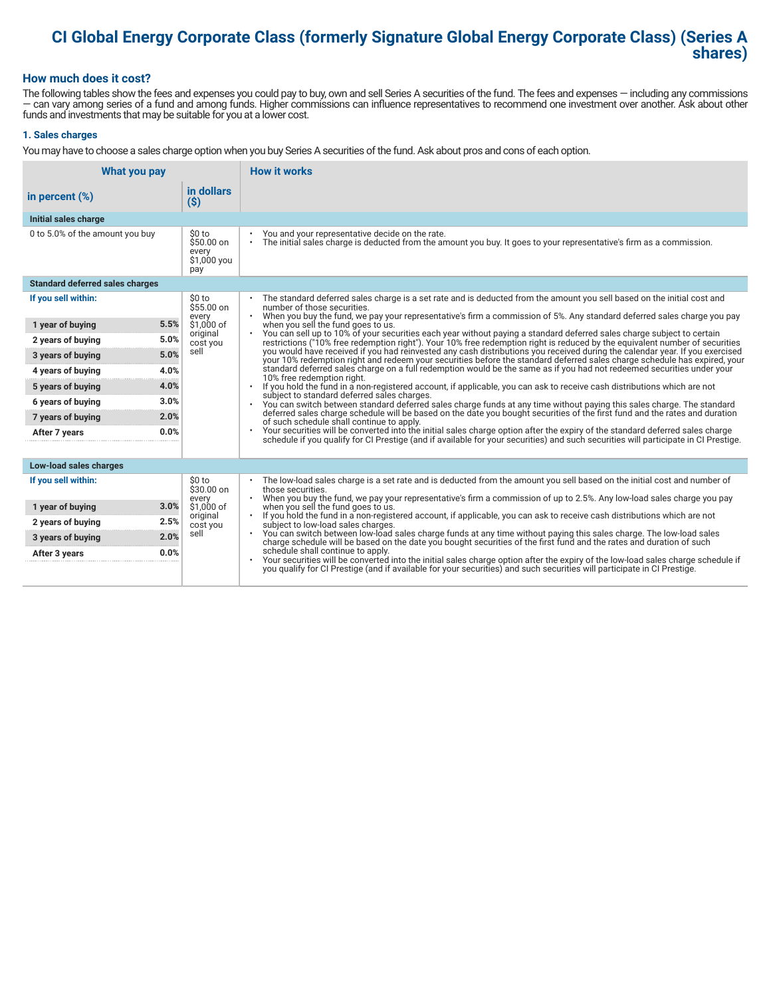## **CI Global Energy Corporate Class (formerly Signature Global Energy Corporate Class) (Series A shares)**

#### **How much does it cost?**

The following tables show the fees and expenses you could pay to buy, own and sell Series A securities of the fund. The fees and expenses — including any commissions — can vary among series of a fund and among funds. Higher commissions can influence representatives to recommend one investment over another. Ask about other funds and investments that may be suitable for you at a lower cost.

#### **1. Sales charges**

You may have to choose a sales charge option when you buy Series A securities of the fund. Ask about pros and cons of each option.

| What you pay                           |                                                      | <b>How it works</b>                                                                                                                                                                                                                                                     |  |
|----------------------------------------|------------------------------------------------------|-------------------------------------------------------------------------------------------------------------------------------------------------------------------------------------------------------------------------------------------------------------------------|--|
| in percent $(\%)$                      | in dollars<br>$($ \$)                                |                                                                                                                                                                                                                                                                         |  |
| Initial sales charge                   |                                                      |                                                                                                                                                                                                                                                                         |  |
| 0 to 5.0% of the amount you buy        | \$0 to<br>$$50.00$ on<br>every<br>\$1,000 you<br>pay | You and your representative decide on the rate.<br>The initial sales charge is deducted from the amount you buy. It goes to your representative's firm as a commission.<br>$\bullet$                                                                                    |  |
| <b>Standard deferred sales charges</b> |                                                      |                                                                                                                                                                                                                                                                         |  |
| If you sell within:                    | \$0 to<br>\$55.00 on                                 | The standard deferred sales charge is a set rate and is deducted from the amount you sell based on the initial cost and<br>number of those securities.                                                                                                                  |  |
| 5.5%<br>1 year of buying               | every<br>\$1,000 of                                  | When you buy the fund, we pay your representative's firm a commission of 5%. Any standard deferred sales charge you pay<br>$\bullet$<br>when you sell the fund goes to us.                                                                                              |  |
| 5.0%<br>2 years of buying              | original<br>cost you                                 | You can sell up to 10% of your securities each year without paying a standard deferred sales charge subject to certain<br>restrictions ("10% free redemption right"). Your 10% free redemption right is reduced by the equivalent number of securities                  |  |
| 5.0%<br>3 years of buying              | sell                                                 | you would have received if you had reinvested any cash distributions you received during the calendar year. If you exercised<br>your 10% redemption right and redeem your securities before the standard deferred sales charge schedule has expired, your               |  |
| 4.0%<br>4 years of buying              |                                                      | standard deferred sales charge on a full redemption would be the same as if you had not redeemed securities under your<br>10% free redemption right.                                                                                                                    |  |
| 4.0%<br>5 years of buying              |                                                      | If you hold the fund in a non-registered account, if applicable, you can ask to receive cash distributions which are not<br>subject to standard deferred sales charges.                                                                                                 |  |
| 3.0%<br>6 years of buying              |                                                      | You can switch between standard deferred sales charge funds at any time without paying this sales charge. The standard<br>$\bullet$                                                                                                                                     |  |
| 2.0%<br>7 years of buying              |                                                      | deferred sales charge schedule will be based on the date you bought securities of the first fund and the rates and duration<br>of such schedule shall continue to apply.                                                                                                |  |
| 0.0%<br>After 7 years                  |                                                      | Your securities will be converted into the initial sales charge option after the expiry of the standard deferred sales charge<br>schedule if you qualify for CI Prestige (and if available for your securities) and such securities will participate in CI Prestige.    |  |
| Low-load sales charges                 |                                                      |                                                                                                                                                                                                                                                                         |  |
| If you sell within:                    | \$0 to<br>\$30.00 on<br>every                        | The low-load sales charge is a set rate and is deducted from the amount you sell based on the initial cost and number of<br>those securities.<br>When you buy the fund, we pay your representative's firm a commission of up to 2.5%. Any low-load sales charge you pay |  |
| 3.0%<br>1 year of buying               | \$1,000 of                                           | when you sell the fund goes to us.                                                                                                                                                                                                                                      |  |
| 2.5%<br>2 years of buying              | original<br>cost you                                 | If you hold the fund in a non-registered account, if applicable, you can ask to receive cash distributions which are not<br>subject to low-load sales charges.                                                                                                          |  |
| 2.0%<br>3 years of buying              | sell                                                 | . You can switch between low-load sales charge funds at any time without paying this sales charge. The low-load sales<br>charge schedule will be based on the date you bought securities of the first fund and the rates and duration of such                           |  |
| 0.0%<br>After 3 years                  |                                                      | schedule shall continue to apply.<br>Your securities will be converted into the initial sales charge option after the expiry of the low-load sales charge schedule if                                                                                                   |  |
|                                        |                                                      | you qualify for CI Prestige (and if available for your securities) and such securities will participate in CI Prestige.                                                                                                                                                 |  |